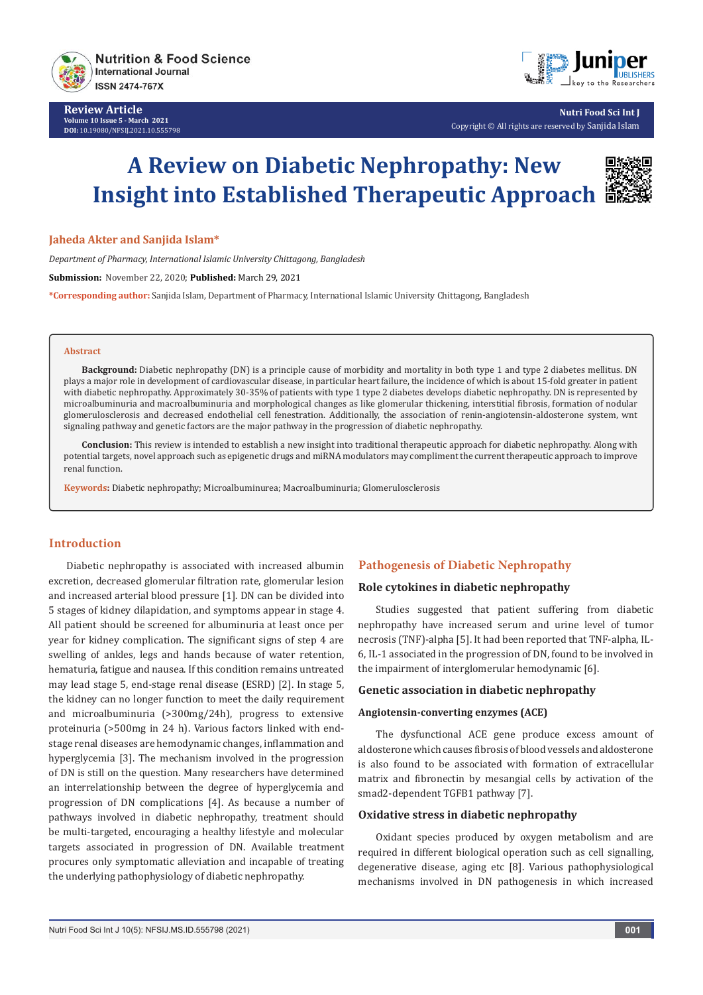

**Review Article Volume 10 Issue 5 - March 2021 DOI:** [10.19080/NFSIJ.2021.10.5557](http://dx.doi.org/10.19080/NFSIJ.2021.10.555798)98



**Nutri Food Sci Int J** Copyright © All rights are reserved by Sanjida Islam

# **A Review on Diabetic Nephropathy: New Insight into Established Therapeutic Approach**



#### **Jaheda Akter and Sanjida Islam\***

*Department of Pharmacy, International Islamic University Chittagong, Bangladesh* 

**Submission:** November 22, 2020; **Published:** March 29, 2021

**\*Corresponding author:** Sanjida Islam, Department of Pharmacy, International Islamic University Chittagong, Bangladesh

#### **Abstract**

**Background:** Diabetic nephropathy (DN) is a principle cause of morbidity and mortality in both type 1 and type 2 diabetes mellitus. DN plays a major role in development of cardiovascular disease, in particular heart failure, the incidence of which is about 15-fold greater in patient with diabetic nephropathy. Approximately 30-35% of patients with type 1 type 2 diabetes develops diabetic nephropathy. DN is represented by microalbuminuria and macroalbuminuria and morphological changes as like glomerular thickening, interstitial fibrosis, formation of nodular glomerulosclerosis and decreased endothelial cell fenestration. Additionally, the association of renin-angiotensin-aldosterone system, wnt signaling pathway and genetic factors are the major pathway in the progression of diabetic nephropathy.

**Conclusion:** This review is intended to establish a new insight into traditional therapeutic approach for diabetic nephropathy. Along with potential targets, novel approach such as epigenetic drugs and miRNA modulators may compliment the current therapeutic approach to improve renal function.

**Keywords:** Diabetic nephropathy; Microalbuminurea; Macroalbuminuria; Glomerulosclerosis

# **Introduction**

Diabetic nephropathy is associated with increased albumin excretion, decreased glomerular filtration rate, glomerular lesion and increased arterial blood pressure [1]. DN can be divided into 5 stages of kidney dilapidation, and symptoms appear in stage 4. All patient should be screened for albuminuria at least once per year for kidney complication. The significant signs of step 4 are swelling of ankles, legs and hands because of water retention, hematuria, fatigue and nausea. If this condition remains untreated may lead stage 5, end-stage renal disease (ESRD) [2]. In stage 5, the kidney can no longer function to meet the daily requirement and microalbuminuria (>300mg/24h), progress to extensive proteinuria (>500mg in 24 h). Various factors linked with endstage renal diseases are hemodynamic changes, inflammation and hyperglycemia [3]. The mechanism involved in the progression of DN is still on the question. Many researchers have determined an interrelationship between the degree of hyperglycemia and progression of DN complications [4]. As because a number of pathways involved in diabetic nephropathy, treatment should be multi-targeted, encouraging a healthy lifestyle and molecular targets associated in progression of DN. Available treatment procures only symptomatic alleviation and incapable of treating the underlying pathophysiology of diabetic nephropathy.

# **Pathogenesis of Diabetic Nephropathy**

## **Role cytokines in diabetic nephropathy**

Studies suggested that patient suffering from diabetic nephropathy have increased serum and urine level of tumor necrosis (TNF)-alpha [5]. It had been reported that TNF-alpha, IL-6, IL-1 associated in the progression of DN, found to be involved in the impairment of interglomerular hemodynamic [6].

## **Genetic association in diabetic nephropathy**

#### **Angiotensin-converting enzymes (ACE)**

The dysfunctional ACE gene produce excess amount of aldosterone which causes fibrosis of blood vessels and aldosterone is also found to be associated with formation of extracellular matrix and fibronectin by mesangial cells by activation of the smad2-dependent TGFB1 pathway [7].

#### **Oxidative stress in diabetic nephropathy**

Oxidant species produced by oxygen metabolism and are required in different biological operation such as cell signalling, degenerative disease, aging etc [8]. Various pathophysiological mechanisms involved in DN pathogenesis in which increased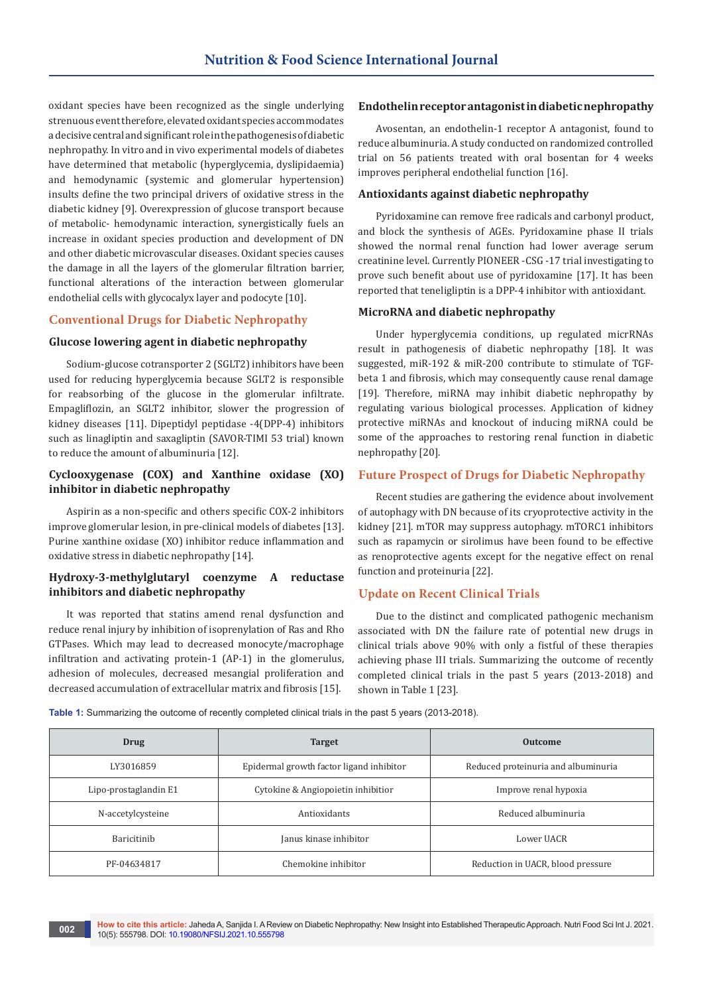oxidant species have been recognized as the single underlying strenuous event therefore, elevated oxidant species accommodates a decisive central and significant role in the pathogenesis of diabetic nephropathy. In vitro and in vivo experimental models of diabetes have determined that metabolic (hyperglycemia, dyslipidaemia) and hemodynamic (systemic and glomerular hypertension) insults define the two principal drivers of oxidative stress in the diabetic kidney [9]. Overexpression of glucose transport because of metabolic- hemodynamic interaction, synergistically fuels an increase in oxidant species production and development of DN and other diabetic microvascular diseases. Oxidant species causes the damage in all the layers of the glomerular filtration barrier, functional alterations of the interaction between glomerular endothelial cells with glycocalyx layer and podocyte [10].

#### **Conventional Drugs for Diabetic Nephropathy**

## **Glucose lowering agent in diabetic nephropathy**

Sodium-glucose cotransporter 2 (SGLT2) inhibitors have been used for reducing hyperglycemia because SGLT2 is responsible for reabsorbing of the glucose in the glomerular infiltrate. Empagliflozin, an SGLT2 inhibitor, slower the progression of kidney diseases [11]. Dipeptidyl peptidase -4(DPP-4) inhibitors such as linagliptin and saxagliptin (SAVOR-TIMI 53 trial) known to reduce the amount of albuminuria [12].

# **Cyclooxygenase (COX) and Xanthine oxidase (XO) inhibitor in diabetic nephropathy**

Aspirin as a non-specific and others specific COX-2 inhibitors improve glomerular lesion, in pre-clinical models of diabetes [13]. Purine xanthine oxidase (XO) inhibitor reduce inflammation and oxidative stress in diabetic nephropathy [14].

# **Hydroxy-3-methylglutaryl coenzyme A reductase inhibitors and diabetic nephropathy**

It was reported that statins amend renal dysfunction and reduce renal injury by inhibition of isoprenylation of Ras and Rho GTPases. Which may lead to decreased monocyte/macrophage infiltration and activating protein-1 (AP-1) in the glomerulus, adhesion of molecules, decreased mesangial proliferation and decreased accumulation of extracellular matrix and fibrosis [15].

#### **Endothelin receptor antagonist in diabetic nephropathy**

Avosentan, an endothelin-1 receptor A antagonist, found to reduce albuminuria. A study conducted on randomized controlled trial on 56 patients treated with oral bosentan for 4 weeks improves peripheral endothelial function [16].

#### **Antioxidants against diabetic nephropathy**

Pyridoxamine can remove free radicals and carbonyl product, and block the synthesis of AGEs. Pyridoxamine phase II trials showed the normal renal function had lower average serum creatinine level. Currently PIONEER -CSG -17 trial investigating to prove such benefit about use of pyridoxamine [17]. It has been reported that teneligliptin is a DPP-4 inhibitor with antioxidant.

#### **MicroRNA and diabetic nephropathy**

Under hyperglycemia conditions, up regulated micrRNAs result in pathogenesis of diabetic nephropathy [18]. It was suggested, miR-192 & miR-200 contribute to stimulate of TGFbeta 1 and fibrosis, which may consequently cause renal damage [19]. Therefore, miRNA may inhibit diabetic nephropathy by regulating various biological processes. Application of kidney protective miRNAs and knockout of inducing miRNA could be some of the approaches to restoring renal function in diabetic nephropathy [20].

## **Future Prospect of Drugs for Diabetic Nephropathy**

Recent studies are gathering the evidence about involvement of autophagy with DN because of its cryoprotective activity in the kidney [21]. mTOR may suppress autophagy. mTORC1 inhibitors such as rapamycin or sirolimus have been found to be effective as renoprotective agents except for the negative effect on renal function and proteinuria [22].

# **Update on Recent Clinical Trials**

Due to the distinct and complicated pathogenic mechanism associated with DN the failure rate of potential new drugs in clinical trials above 90% with only a fistful of these therapies achieving phase III trials. Summarizing the outcome of recently completed clinical trials in the past 5 years (2013-2018) and shown in Table 1 [23].

Table 1: Summarizing the outcome of recently completed clinical trials in the past 5 years (2013-2018).

| Drug                  | <b>Target</b>                            | <b>Outcome</b>                      |
|-----------------------|------------------------------------------|-------------------------------------|
| LY3016859             | Epidermal growth factor ligand inhibitor | Reduced proteinuria and albuminuria |
| Lipo-prostaglandin E1 | Cytokine & Angiopoietin inhibitior       | Improve renal hypoxia               |
| N-accetylcysteine     | Antioxidants                             | Reduced albuminuria                 |
| <b>Baricitinib</b>    | Janus kinase inhibitor                   | Lower UACR                          |
| PF-04634817           | Chemokine inhibitor                      | Reduction in UACR, blood pressure   |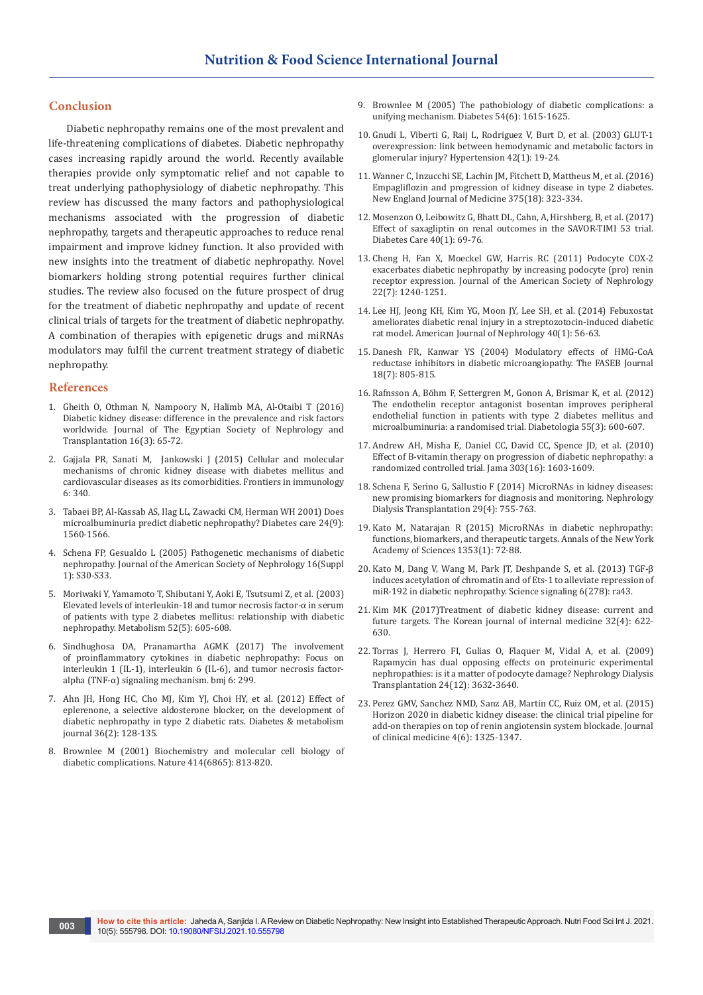#### **Conclusion**

Diabetic nephropathy remains one of the most prevalent and life-threatening complications of diabetes. Diabetic nephropathy cases increasing rapidly around the world. Recently available therapies provide only symptomatic relief and not capable to treat underlying pathophysiology of diabetic nephropathy. This review has discussed the many factors and pathophysiological mechanisms associated with the progression of diabetic nephropathy, targets and therapeutic approaches to reduce renal impairment and improve kidney function. It also provided with new insights into the treatment of diabetic nephropathy. Novel biomarkers holding strong potential requires further clinical studies. The review also focused on the future prospect of drug for the treatment of diabetic nephropathy and update of recent clinical trials of targets for the treatment of diabetic nephropathy. A combination of therapies with epigenetic drugs and miRNAs modulators may fulfil the current treatment strategy of diabetic nephropathy.

#### **References**

- 1. [Gheith O, Othman N, Nampoory N, Halimb MA, Al-Otaibi T \(2016\)](https://www.jesnt.eg.net/article.asp?issn=1110-9165;year=2016;volume=16;issue=3;spage=65;epage=72;aulast=Gheith)  [Diabetic kidney disease: difference in the prevalence and risk factors](https://www.jesnt.eg.net/article.asp?issn=1110-9165;year=2016;volume=16;issue=3;spage=65;epage=72;aulast=Gheith)  [worldwide. Journal of The Egyptian Society of Nephrology and](https://www.jesnt.eg.net/article.asp?issn=1110-9165;year=2016;volume=16;issue=3;spage=65;epage=72;aulast=Gheith)  [Transplantation 16\(3\): 65-72.](https://www.jesnt.eg.net/article.asp?issn=1110-9165;year=2016;volume=16;issue=3;spage=65;epage=72;aulast=Gheith)
- 2. [Gajjala PR, Sanati M, Jankowski J \(2015\) Cellular and molecular](https://pubmed.ncbi.nlm.nih.gov/26217336/)  [mechanisms of chronic kidney disease with diabetes mellitus and](https://pubmed.ncbi.nlm.nih.gov/26217336/)  [cardiovascular diseases as its comorbidities. Frontiers in immunology](https://pubmed.ncbi.nlm.nih.gov/26217336/)  [6: 340.](https://pubmed.ncbi.nlm.nih.gov/26217336/)
- 3. [Tabaei BP, Al-Kassab AS, Ilag LL, Zawacki CM, Herman WH 2001\) Does](https://pubmed.ncbi.nlm.nih.gov/11522699/)  [microalbuminuria predict diabetic nephropathy? Diabetes care 24\(9\):](https://pubmed.ncbi.nlm.nih.gov/11522699/)  [1560-1566.](https://pubmed.ncbi.nlm.nih.gov/11522699/)
- 4. [Schena FP, Gesualdo L \(2005\) Pathogenetic mechanisms of diabetic](https://pubmed.ncbi.nlm.nih.gov/15938030/)  [nephropathy. Journal of the American Society of Nephrology 16\(Suppl](https://pubmed.ncbi.nlm.nih.gov/15938030/)  [1\): S30-S33.](https://pubmed.ncbi.nlm.nih.gov/15938030/)
- 5. [Moriwaki Y, Yamamoto T, Shibutani Y, Aoki E, Tsutsumi Z, et al. \(2003\)](https://pubmed.ncbi.nlm.nih.gov/12759891/)  [Elevated levels of interleukin-18 and tumor necrosis factor-α in serum](https://pubmed.ncbi.nlm.nih.gov/12759891/)  [of patients with type 2 diabetes mellitus: relationship with diabetic](https://pubmed.ncbi.nlm.nih.gov/12759891/)  [nephropathy. Metabolism 52\(5\): 605-608.](https://pubmed.ncbi.nlm.nih.gov/12759891/)
- 6. Sindhughosa DA, Pranamartha AGMK (2017) The involvement of proinflammatory cytokines in diabetic nephropathy: Focus on interleukin 1 (IL-1), interleukin 6 (IL-6), and tumor necrosis factoralpha (TNF-α) signaling mechanism. bmj 6: 299.
- 7. [Ahn JH, Hong HC, Cho MJ, Kim YJ, Choi HY, et al. \(2012\) Effect of](https://pubmed.ncbi.nlm.nih.gov/22540049/)  [eplerenone, a selective aldosterone blocker, on the development of](https://pubmed.ncbi.nlm.nih.gov/22540049/)  [diabetic nephropathy in type 2 diabetic rats. Diabetes & metabolism](https://pubmed.ncbi.nlm.nih.gov/22540049/)  [journal 36\(2\): 128-135.](https://pubmed.ncbi.nlm.nih.gov/22540049/)
- 8. [Brownlee M \(2001\) Biochemistry and molecular cell biology of](https://pubmed.ncbi.nlm.nih.gov/11742414/)  [diabetic complications. Nature 414\(6865\): 813-820.](https://pubmed.ncbi.nlm.nih.gov/11742414/)
- 9. [Brownlee M \(2005\) The pathobiology of diabetic complications: a](https://pubmed.ncbi.nlm.nih.gov/15919781/)  [unifying mechanism. Diabetes 54\(6\): 1615-1625.](https://pubmed.ncbi.nlm.nih.gov/15919781/)
- 10. [Gnudi L, Viberti G, Raij L, Rodriguez V, Burt D, et al. \(2003\) GLUT-1](https://pubmed.ncbi.nlm.nih.gov/12771048/)  [overexpression: link between hemodynamic and metabolic factors in](https://pubmed.ncbi.nlm.nih.gov/12771048/)  [glomerular injury? Hypertension 42\(1\): 19-24.](https://pubmed.ncbi.nlm.nih.gov/12771048/)
- 11. [Wanner C, Inzucchi SE, Lachin JM, Fitchett D, Mattheus M, et al. \(2016\)](https://pubmed.ncbi.nlm.nih.gov/27806236/)  [Empagliflozin and progression of kidney disease in type 2 diabetes.](https://pubmed.ncbi.nlm.nih.gov/27806236/)  [New England Journal of Medicine 375\(18\): 323-334.](https://pubmed.ncbi.nlm.nih.gov/27806236/)
- 12. [Mosenzon O, Leibowitz G, Bhatt DL, Cahn, A, Hirshberg, B, et al. \(2017\)](https://pubmed.ncbi.nlm.nih.gov/27797925/)  [Effect of saxagliptin on renal outcomes in the SAVOR-TIMI 53 trial.](https://pubmed.ncbi.nlm.nih.gov/27797925/)  [Diabetes Care 40\(1\): 69-76.](https://pubmed.ncbi.nlm.nih.gov/27797925/)
- 13. [Cheng H, Fan X, Moeckel GW, Harris RC \(2011\) Podocyte COX-2](https://pubmed.ncbi.nlm.nih.gov/21737546/)  [exacerbates diabetic nephropathy by increasing podocyte \(pro\) renin](https://pubmed.ncbi.nlm.nih.gov/21737546/)  [receptor expression. Journal of the American Society of Nephrology](https://pubmed.ncbi.nlm.nih.gov/21737546/)  [22\(7\): 1240-1251.](https://pubmed.ncbi.nlm.nih.gov/21737546/)
- 14. [Lee HJ, Jeong KH, Kim YG, Moon JY, Lee SH, et al. \(2014\) Febuxostat](https://pubmed.ncbi.nlm.nih.gov/25034030/)  [ameliorates diabetic renal injury in a streptozotocin-induced diabetic](https://pubmed.ncbi.nlm.nih.gov/25034030/)  [rat model. American Journal of Nephrology 40\(1\): 56-63.](https://pubmed.ncbi.nlm.nih.gov/25034030/)
- 15. [Danesh FR, Kanwar YS \(2004\) Modulatory effects of HMG-CoA](https://faseb.onlinelibrary.wiley.com/doi/full/10.1096/fj.03-0839rev)  [reductase inhibitors in diabetic microangiopathy. The FASEB Journal](https://faseb.onlinelibrary.wiley.com/doi/full/10.1096/fj.03-0839rev)  [18\(7\): 805-815.](https://faseb.onlinelibrary.wiley.com/doi/full/10.1096/fj.03-0839rev)
- 16. [Rafnsson A, Böhm F, Settergren M, Gonon A, Brismar K, et al. \(2012\)](https://pubmed.ncbi.nlm.nih.gov/22200728/)  [The endothelin receptor antagonist bosentan improves peripheral](https://pubmed.ncbi.nlm.nih.gov/22200728/)  [endothelial function in patients with type 2 diabetes mellitus and](https://pubmed.ncbi.nlm.nih.gov/22200728/)  [microalbuminuria: a randomised trial. Diabetologia 55\(3\): 600-607.](https://pubmed.ncbi.nlm.nih.gov/22200728/)
- 17. [Andrew AH, Misha E, Daniel CC, David CC, Spence JD, et al. \(2010\)](https://pubmed.ncbi.nlm.nih.gov/20424250/)  [Effect of B-vitamin therapy on progression of diabetic nephropathy: a](https://pubmed.ncbi.nlm.nih.gov/20424250/)  [randomized controlled trial. Jama 303\(16\): 1603-1609.](https://pubmed.ncbi.nlm.nih.gov/20424250/)
- 18. [Schena F, Serino G, Sallustio F \(2014\) MicroRNAs in kidney diseases:](https://pubmed.ncbi.nlm.nih.gov/23787546/)  [new promising biomarkers for diagnosis and monitoring. Nephrology](https://pubmed.ncbi.nlm.nih.gov/23787546/)  [Dialysis Transplantation 29\(4\): 755-763.](https://pubmed.ncbi.nlm.nih.gov/23787546/)
- 19. [Kato M, Natarajan R \(2015\) MicroRNAs in diabetic nephropathy:](https://pubmed.ncbi.nlm.nih.gov/25877817/)  [functions, biomarkers, and therapeutic targets. Annals of the New York](https://pubmed.ncbi.nlm.nih.gov/25877817/)  [Academy of Sciences 1353\(1\): 72-88.](https://pubmed.ncbi.nlm.nih.gov/25877817/)
- 20. [Kato M, Dang V, Wang M, Park JT, Deshpande S, et al. \(2013\) TGF-β](https://pubmed.ncbi.nlm.nih.gov/23737551/)  [induces acetylation of chromatin and of Ets-1 to alleviate repression of](https://pubmed.ncbi.nlm.nih.gov/23737551/)  [miR-192 in diabetic nephropathy. Science signaling 6\(278\): ra43.](https://pubmed.ncbi.nlm.nih.gov/23737551/)
- 21. [Kim MK \(2017\)Treatment of diabetic kidney disease: current and](https://pubmed.ncbi.nlm.nih.gov/28704915/)  [future targets. The Korean journal of internal medicine 32\(4\): 622-](https://pubmed.ncbi.nlm.nih.gov/28704915/) [630.](https://pubmed.ncbi.nlm.nih.gov/28704915/)
- 22. [Torras J, Herrero FI, Gulias O, Flaquer M, Vidal A, et al. \(2009\)](https://academic.oup.com/ndt/article/24/12/3632/1832426)  [Rapamycin has dual opposing effects on proteinuric experimental](https://academic.oup.com/ndt/article/24/12/3632/1832426)  [nephropathies: is it a matter of podocyte damage? Nephrology Dialysis](https://academic.oup.com/ndt/article/24/12/3632/1832426)  [Transplantation 24\(12\): 3632-3640.](https://academic.oup.com/ndt/article/24/12/3632/1832426)
- 23. [Perez GMV, Sanchez NMD, Sanz AB, Martín CC, Ruiz OM, et al. \(2015\)](https://pubmed.ncbi.nlm.nih.gov/26239562/)  [Horizon 2020 in diabetic kidney disease: the clinical trial pipeline for](https://pubmed.ncbi.nlm.nih.gov/26239562/)  [add-on therapies on top of renin angiotensin system blockade. Journal](https://pubmed.ncbi.nlm.nih.gov/26239562/)  [of clinical medicine 4\(6\): 1325-1347.](https://pubmed.ncbi.nlm.nih.gov/26239562/)